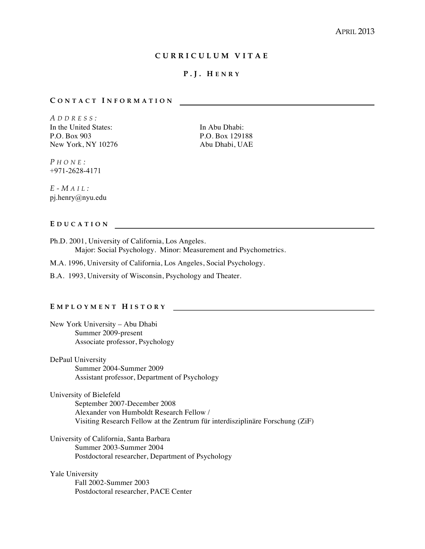## **CURRICULUM VITA E**

## **P.J. H ENRY**

#### **C ONTACT I NFORMATION**

*A DDRESS :* In the United States: In Abu Dhabi: P.O. Box 903 P.O. Box 129188 New York, NY 10276 Abu Dhabi, UAE

*P HONE :* +971-2628-4171

*E - M AIL :* pj.henry@nyu.edu

#### **E DUCATION**

Ph.D. 2001, University of California, Los Angeles. Major: Social Psychology. Minor: Measurement and Psychometrics.

M.A. 1996, University of California, Los Angeles, Social Psychology.

B.A. 1993, University of Wisconsin, Psychology and Theater.

### **E MPLOYMENT H ISTORY**

New York University – Abu Dhabi Summer 2009-present Associate professor, Psychology

DePaul University Summer 2004-Summer 2009 Assistant professor, Department of Psychology

University of Bielefeld September 2007-December 2008 Alexander von Humboldt Research Fellow / Visiting Research Fellow at the Zentrum für interdisziplinäre Forschung (ZiF)

University of California, Santa Barbara Summer 2003-Summer 2004 Postdoctoral researcher, Department of Psychology

Yale University Fall 2002-Summer 2003 Postdoctoral researcher, PACE Center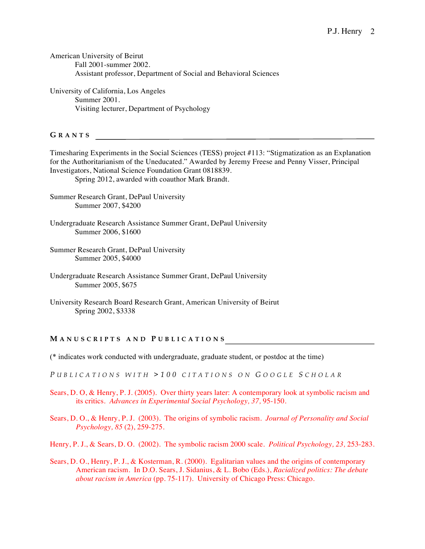American University of Beirut Fall 2001-summer 2002. Assistant professor, Department of Social and Behavioral Sciences

University of California, Los Angeles Summer 2001. Visiting lecturer, Department of Psychology

**G RANTS** 

Timesharing Experiments in the Social Sciences (TESS) project #113: "Stigmatization as an Explanation for the Authoritarianism of the Uneducated." Awarded by Jeremy Freese and Penny Visser, Principal Investigators, National Science Foundation Grant 0818839.

Spring 2012, awarded with coauthor Mark Brandt.

- Summer Research Grant, DePaul University Summer 2007, \$4200
- Undergraduate Research Assistance Summer Grant, DePaul University Summer 2006, \$1600
- Summer Research Grant, DePaul University Summer 2005, \$4000
- Undergraduate Research Assistance Summer Grant, DePaul University Summer 2005, \$675
- University Research Board Research Grant, American University of Beirut Spring 2002, \$3338

## **M ANUSCRIPTS AND P UBLICATIONS**

(\* indicates work conducted with undergraduate, graduate student, or postdoc at the time)

*P UBLICATIONS WITH >100 CITATIONS ON G OOGLE S CHOLAR*

- Sears, D. O, & Henry, P. J. (2005). Over thirty years later: A contemporary look at symbolic racism and its critics. *Advances in Experimental Social Psychology, 37,* 95-150.
- Sears, D. O., & Henry, P. J. (2003). The origins of symbolic racism. *Journal of Personality and Social Psychology, 85* (2), 259-275*.*

Henry, P. J., & Sears, D. O. (2002). The symbolic racism 2000 scale. *Political Psychology, 23,* 253-283.

Sears, D. O., Henry, P. J., & Kosterman, R. (2000). Egalitarian values and the origins of contemporary American racism. In D.O. Sears, J. Sidanius, & L. Bobo (Eds.), *Racialized politics: The debate about racism in America* (pp. 75-117). University of Chicago Press: Chicago.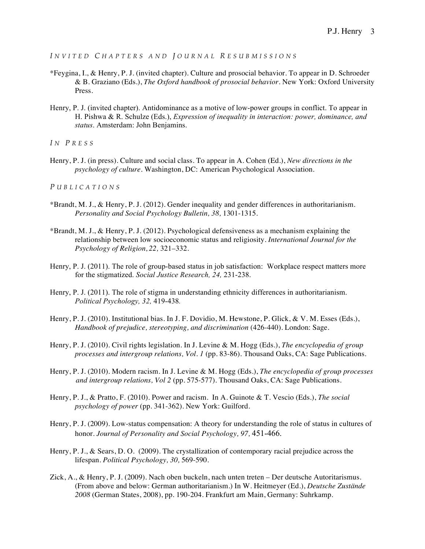*I NVITED C HAPTERS AND J OURNAL R ESUBMISSIONS*

- \*Feygina, I., & Henry, P. J. (invited chapter). Culture and prosocial behavior. To appear in D. Schroeder & B. Graziano (Eds.), *The Oxford handbook of prosocial behavior.* New York: Oxford University Press.
- Henry, P. J. (invited chapter). Antidominance as a motive of low-power groups in conflict. To appear in H. Pishwa & R. Schulze (Eds.), *Expression of inequality in interaction: power, dominance, and status*. Amsterdam: John Benjamins.

*I N P RESS*

Henry, P. J. (in press). Culture and social class. To appear in A. Cohen (Ed.), *New directions in the psychology of culture.* Washington, DC: American Psychological Association.

*P UBLICATIONS*

- \*Brandt, M. J., & Henry, P. J. (2012). Gender inequality and gender differences in authoritarianism. *Personality and Social Psychology Bulletin, 38,* 1301-1315.
- \*Brandt, M. J., & Henry, P. J. (2012). Psychological defensiveness as a mechanism explaining the relationship between low socioeconomic status and religiosity. *International Journal for the Psychology of Religion, 22,* 321–332.
- Henry, P. J. (2011). The role of group-based status in job satisfaction: Workplace respect matters more for the stigmatized. *Social Justice Research, 24,* 231-238.
- Henry, P. J. (2011). The role of stigma in understanding ethnicity differences in authoritarianism. *Political Psychology, 32,* 419-438*.*
- Henry, P. J. (2010). Institutional bias. In J. F. Dovidio, M. Hewstone, P. Glick, & V. M. Esses (Eds.), *Handbook of prejudice, stereotyping, and discrimination* (426-440). London: Sage.
- Henry, P. J. (2010). Civil rights legislation. In J. Levine & M. Hogg (Eds.), *The encyclopedia of group processes and intergroup relations, Vol. 1* (pp. 83-86). Thousand Oaks, CA: Sage Publications.
- Henry, P. J. (2010). Modern racism. In J. Levine & M. Hogg (Eds.), *The encyclopedia of group processes and intergroup relations, Vol 2* (pp. 575-577). Thousand Oaks, CA: Sage Publications.
- Henry, P. J., & Pratto, F. (2010). Power and racism. In A. Guinote & T. Vescio (Eds.), *The social psychology of power* (pp. 341-362)*.* New York: Guilford.
- Henry, P. J. (2009). Low-status compensation: A theory for understanding the role of status in cultures of honor. *Journal of Personality and Social Psychology, 97,* 451-466.
- Henry, P. J., & Sears, D. O. (2009). The crystallization of contemporary racial prejudice across the lifespan. *Political Psychology, 30,* 569-590*.*
- Zick, A., & Henry, P. J. (2009). Nach oben buckeln, nach unten treten Der deutsche Autoritarismus. (From above and below: German authoritarianism.) In W. Heitmeyer (Ed.), *Deutsche Zustände 2008* (German States, 2008), pp. 190-204*.* Frankfurt am Main, Germany: Suhrkamp.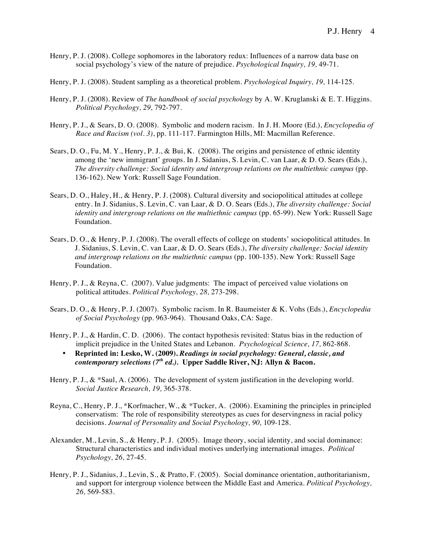- Henry, P. J. (2008). College sophomores in the laboratory redux: Influences of a narrow data base on social psychology's view of the nature of prejudice. *Psychological Inquiry, 19,* 49-71*.*
- Henry, P. J. (2008). Student sampling as a theoretical problem. *Psychological Inquiry, 19,* 114-125*.*
- Henry, P. J. (2008). Review of *The handbook of social psychology* by A. W. Kruglanski & E. T. Higgins. *Political Psychology, 29,* 792-797.
- Henry, P. J., & Sears, D. O. (2008). Symbolic and modern racism. In J. H. Moore (Ed.), *Encyclopedia of Race and Racism (vol. 3)*, pp. 111-117*.* Farmington Hills, MI: Macmillan Reference.
- Sears, D. O., Fu, M. Y., Henry, P. J., & Bui, K. (2008). The origins and persistence of ethnic identity among the 'new immigrant' groups. In J. Sidanius, S. Levin, C. van Laar, & D. O. Sears (Eds.), *The diversity challenge: Social identity and intergroup relations on the multiethnic campus* (pp. 136-162)*.* New York: Russell Sage Foundation.
- Sears, D. O., Haley, H., & Henry, P. J. (2008). Cultural diversity and sociopolitical attitudes at college entry. In J. Sidanius, S. Levin, C. van Laar, & D. O. Sears (Eds.), *The diversity challenge: Social identity and intergroup relations on the multiethnic campus* (pp. 65-99)*.* New York: Russell Sage Foundation.
- Sears, D. O., & Henry, P. J. (2008). The overall effects of college on students' sociopolitical attitudes. In J. Sidanius, S. Levin, C. van Laar, & D. O. Sears (Eds.), *The diversity challenge: Social identity and intergroup relations on the multiethnic campus* (pp. 100-135)*.* New York: Russell Sage Foundation.
- Henry, P. J., & Reyna, C. (2007). Value judgments: The impact of perceived value violations on political attitudes. *Political Psychology, 28,* 273-298*.*
- Sears, D. O., & Henry, P. J. (2007). Symbolic racism. In R. Baumeister & K. Vohs (Eds.), *Encyclopedia of Social Psychology* (pp. 963-964)*.* Thousand Oaks, CA: Sage.
- Henry, P. J., & Hardin, C. D. (2006). The contact hypothesis revisited: Status bias in the reduction of implicit prejudice in the United States and Lebanon. *Psychological Science, 17,* 862-868*.*
	- **Reprinted in: Lesko, W. (2009).** *Readings in social psychology: General, classic, and contemporary selections (7th ed.).* **Upper Saddle River, NJ: Allyn & Bacon.**
- Henry, P. J.,  $\&$  \*Saul, A. (2006). The development of system justification in the developing world. *Social Justice Research, 19,* 365-378*.*
- Reyna, C., Henry, P. J., \*Korfmacher, W., & \*Tucker, A. (2006). Examining the principles in principled conservatism: The role of responsibility stereotypes as cues for deservingness in racial policy decisions. *Journal of Personality and Social Psychology, 90,* 109-128*.*
- Alexander, M., Levin, S., & Henry, P. J. (2005). Image theory, social identity, and social dominance: Structural characteristics and individual motives underlying international images. *Political Psychology, 26,* 27-45*.*
- Henry, P. J., Sidanius, J., Levin, S., & Pratto, F. (2005). Social dominance orientation, authoritarianism, and support for intergroup violence between the Middle East and America. *Political Psychology, 26,* 569-583*.*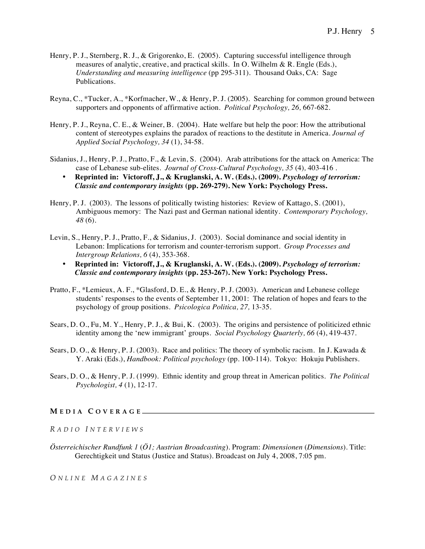- Henry, P. J., Sternberg, R. J., & Grigorenko, E. (2005). Capturing successful intelligence through measures of analytic, creative, and practical skills. In O. Wilhelm & R. Engle (Eds.), *Understanding and measuring intelligence* (pp 295-311)*.* Thousand Oaks, CA: Sage Publications.
- Reyna, C., \*Tucker, A., \*Korfmacher, W., & Henry, P. J. (2005). Searching for common ground between supporters and opponents of affirmative action. *Political Psychology, 26,* 667-682*.*
- Henry, P. J., Reyna, C. E., & Weiner, B. (2004). Hate welfare but help the poor: How the attributional content of stereotypes explains the paradox of reactions to the destitute in America. *Journal of Applied Social Psychology, 34* (1), 34-58.
- Sidanius, J., Henry, P. J., Pratto, F., & Levin, S. (2004). Arab attributions for the attack on America: The case of Lebanese sub-elites. *Journal of Cross-Cultural Psychology, 35* (4)*,* 403-416 *.*
	- **Reprinted in: Victoroff, J., & Kruglanski, A. W. (Eds.). (2009).** *Psychology of terrorism: Classic and contemporary insights* **(pp. 269-279). New York: Psychology Press.**
- Henry, P. J. (2003). The lessons of politically twisting histories: Review of Kattago, S. (2001), Ambiguous memory: The Nazi past and German national identity. *Contemporary Psychology, 48* (6)*.*
- Levin, S., Henry, P. J., Pratto, F., & Sidanius, J. (2003). Social dominance and social identity in Lebanon: Implications for terrorism and counter-terrorism support. *Group Processes and Intergroup Relations, 6* (4), 353-368*.*
	- **Reprinted in: Victoroff, J., & Kruglanski, A. W. (Eds.). (2009).** *Psychology of terrorism: Classic and contemporary insights* **(pp. 253-267). New York: Psychology Press.**
- Pratto, F., \*Lemieux, A. F., \*Glasford, D. E., & Henry, P. J. (2003). American and Lebanese college students' responses to the events of September 11, 2001: The relation of hopes and fears to the psychology of group positions. *Psicologica Politica, 27,* 13-35.
- Sears, D. O., Fu, M. Y., Henry, P. J., & Bui, K. (2003). The origins and persistence of politicized ethnic identity among the 'new immigrant' groups. *Social Psychology Quarterly, 66* (4), 419-437*.*
- Sears, D. O., & Henry, P. J. (2003). Race and politics: The theory of symbolic racism. In J. Kawada & Y. Araki (Eds.), *Handbook: Political psychology* (pp. 100-114). Tokyo: Hokuju Publishers.
- Sears, D. O., & Henry, P. J. (1999). Ethnic identity and group threat in American politics. *The Political Psychologist, 4* (1), 12-17.

#### **M EDIA C OVERAGE**

*R ADIO I NTERVIEWS*

*Österreichischer Rundfunk 1* (*Ö1; Austrian Broadcasting*). Program: *Dimensionen* (*Dimensions*). Title: Gerechtigkeit und Status (Justice and Status). Broadcast on July 4, 2008, 7:05 pm.

*O NLINE M AGAZINES*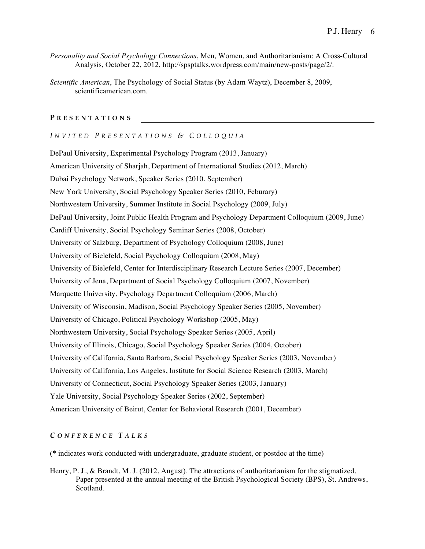- *Personality and Social Psychology Connections*, Men, Women, and Authoritarianism: A Cross-Cultural Analysis, October 22, 2012, http://spsptalks.wordpress.com/main/new-posts/page/2/.
- *Scientific American*, The Psychology of Social Status (by Adam Waytz), December 8, 2009, scientificamerican.com.

### **P RESENTATIONS**

#### *I NVITED P RESENTATIONS & C OLLOQUIA*

DePaul University, Experimental Psychology Program (2013, January) American University of Sharjah, Department of International Studies (2012, March) Dubai Psychology Network, Speaker Series (2010, September) New York University, Social Psychology Speaker Series (2010, Feburary) Northwestern University, Summer Institute in Social Psychology (2009, July) DePaul University, Joint Public Health Program and Psychology Department Colloquium (2009, June) Cardiff University, Social Psychology Seminar Series (2008, October) University of Salzburg, Department of Psychology Colloquium (2008, June) University of Bielefeld, Social Psychology Colloquium (2008, May) University of Bielefeld, Center for Interdisciplinary Research Lecture Series (2007, December) University of Jena, Department of Social Psychology Colloquium (2007, November) Marquette University, Psychology Department Colloquium (2006, March) University of Wisconsin, Madison, Social Psychology Speaker Series (2005, November) University of Chicago, Political Psychology Workshop (2005, May) Northwestern University, Social Psychology Speaker Series (2005, April) University of Illinois, Chicago, Social Psychology Speaker Series (2004, October) University of California, Santa Barbara, Social Psychology Speaker Series (2003, November) University of California, Los Angeles, Institute for Social Science Research (2003, March) University of Connecticut, Social Psychology Speaker Series (2003, January) Yale University, Social Psychology Speaker Series (2002, September) American University of Beirut, Center for Behavioral Research (2001, December)

## *C ONFERENCE T ALKS*

(\* indicates work conducted with undergraduate, graduate student, or postdoc at the time)

Henry, P. J., & Brandt, M. J. (2012, August). The attractions of authoritarianism for the stigmatized. Paper presented at the annual meeting of the British Psychological Society (BPS), St. Andrews, Scotland.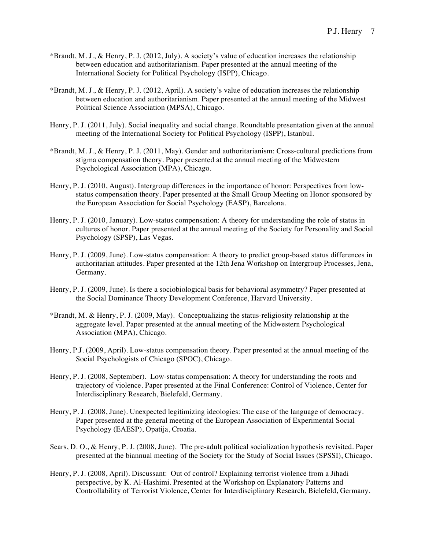- \*Brandt, M. J., & Henry, P. J. (2012, July). A society's value of education increases the relationship between education and authoritarianism. Paper presented at the annual meeting of the International Society for Political Psychology (ISPP), Chicago.
- \*Brandt, M. J., & Henry, P. J. (2012, April). A society's value of education increases the relationship between education and authoritarianism. Paper presented at the annual meeting of the Midwest Political Science Association (MPSA), Chicago.
- Henry, P. J. (2011, July). Social inequality and social change. Roundtable presentation given at the annual meeting of the International Society for Political Psychology (ISPP), Istanbul.
- \*Brandt, M. J., & Henry, P. J. (2011, May). Gender and authoritarianism: Cross-cultural predictions from stigma compensation theory. Paper presented at the annual meeting of the Midwestern Psychological Association (MPA), Chicago.
- Henry, P. J. (2010, August). Intergroup differences in the importance of honor: Perspectives from lowstatus compensation theory. Paper presented at the Small Group Meeting on Honor sponsored by the European Association for Social Psychology (EASP), Barcelona.
- Henry, P. J. (2010, January). Low-status compensation: A theory for understanding the role of status in cultures of honor. Paper presented at the annual meeting of the Society for Personality and Social Psychology (SPSP), Las Vegas.
- Henry, P. J. (2009, June). Low-status compensation: A theory to predict group-based status differences in authoritarian attitudes. Paper presented at the 12th Jena Workshop on Intergroup Processes, Jena, Germany.
- Henry, P. J. (2009, June). Is there a sociobiological basis for behavioral asymmetry? Paper presented at the Social Dominance Theory Development Conference, Harvard University.
- \*Brandt, M. & Henry, P. J. (2009, May). Conceptualizing the status-religiosity relationship at the aggregate level. Paper presented at the annual meeting of the Midwestern Psychological Association (MPA), Chicago.
- Henry, P.J. (2009, April). Low-status compensation theory. Paper presented at the annual meeting of the Social Psychologists of Chicago (SPOC), Chicago.
- Henry, P. J. (2008, September). Low-status compensation: A theory for understanding the roots and trajectory of violence. Paper presented at the Final Conference: Control of Violence, Center for Interdisciplinary Research, Bielefeld, Germany.
- Henry, P. J. (2008, June). Unexpected legitimizing ideologies: The case of the language of democracy. Paper presented at the general meeting of the European Association of Experimental Social Psychology (EAESP), Opatija, Croatia.
- Sears, D. O., & Henry, P. J. (2008, June). The pre-adult political socialization hypothesis revisited. Paper presented at the biannual meeting of the Society for the Study of Social Issues (SPSSI), Chicago.
- Henry, P. J. (2008, April). Discussant: Out of control? Explaining terrorist violence from a Jihadi perspective, by K. Al-Hashimi. Presented at the Workshop on Explanatory Patterns and Controllability of Terrorist Violence, Center for Interdisciplinary Research, Bielefeld, Germany.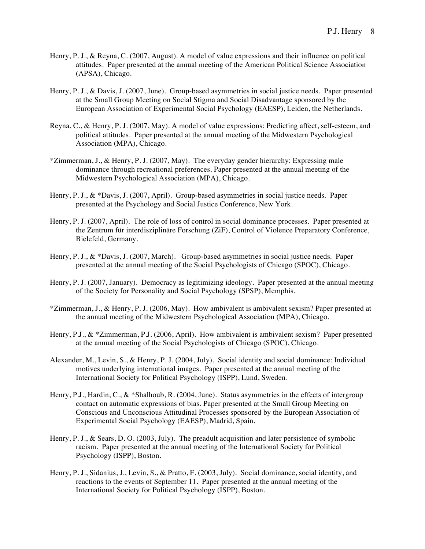- Henry, P. J., & Reyna, C. (2007, August). A model of value expressions and their influence on political attitudes. Paper presented at the annual meeting of the American Political Science Association (APSA), Chicago.
- Henry, P. J., & Davis, J. (2007, June). Group-based asymmetries in social justice needs. Paper presented at the Small Group Meeting on Social Stigma and Social Disadvantage sponsored by the European Association of Experimental Social Psychology (EAESP), Leiden, the Netherlands.
- Reyna, C., & Henry, P. J. (2007, May). A model of value expressions: Predicting affect, self-esteem, and political attitudes. Paper presented at the annual meeting of the Midwestern Psychological Association (MPA), Chicago.
- \*Zimmerman, J., & Henry, P. J. (2007, May). The everyday gender hierarchy: Expressing male dominance through recreational preferences. Paper presented at the annual meeting of the Midwestern Psychological Association (MPA), Chicago.
- Henry, P. J., & \*Davis, J. (2007, April). Group-based asymmetries in social justice needs. Paper presented at the Psychology and Social Justice Conference, New York.
- Henry, P. J. (2007, April). The role of loss of control in social dominance processes. Paper presented at the Zentrum für interdisziplinäre Forschung (ZiF), Control of Violence Preparatory Conference, Bielefeld, Germany.
- Henry, P. J., & \*Davis, J. (2007, March). Group-based asymmetries in social justice needs. Paper presented at the annual meeting of the Social Psychologists of Chicago (SPOC), Chicago.
- Henry, P. J. (2007, January). Democracy as legitimizing ideology. Paper presented at the annual meeting of the Society for Personality and Social Psychology (SPSP), Memphis.
- \*Zimmerman, J., & Henry, P. J. (2006, May). How ambivalent is ambivalent sexism? Paper presented at the annual meeting of the Midwestern Psychological Association (MPA), Chicago.
- Henry, P.J., & \*Zimmerman, P.J. (2006, April). How ambivalent is ambivalent sexism? Paper presented at the annual meeting of the Social Psychologists of Chicago (SPOC), Chicago.
- Alexander, M., Levin, S., & Henry, P. J. (2004, July). Social identity and social dominance: Individual motives underlying international images. Paper presented at the annual meeting of the International Society for Political Psychology (ISPP), Lund, Sweden.
- Henry, P.J., Hardin, C., & \*Shalhoub, R. (2004, June). Status asymmetries in the effects of intergroup contact on automatic expressions of bias. Paper presented at the Small Group Meeting on Conscious and Unconscious Attitudinal Processes sponsored by the European Association of Experimental Social Psychology (EAESP), Madrid, Spain.
- Henry, P. J., & Sears, D. O. (2003, July). The preadult acquisition and later persistence of symbolic racism. Paper presented at the annual meeting of the International Society for Political Psychology (ISPP), Boston.
- Henry, P. J., Sidanius, J., Levin, S., & Pratto, F. (2003, July). Social dominance, social identity, and reactions to the events of September 11. Paper presented at the annual meeting of the International Society for Political Psychology (ISPP), Boston.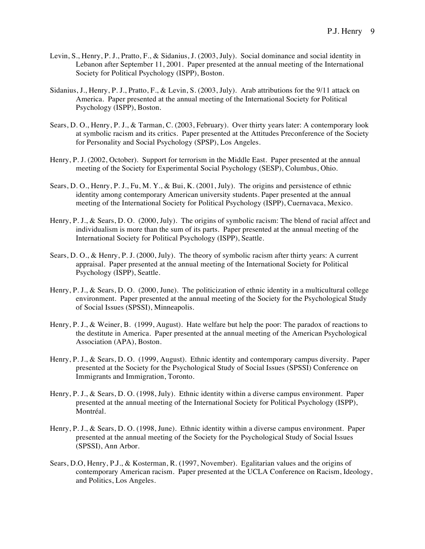- Levin, S., Henry, P. J., Pratto, F., & Sidanius, J. (2003, July). Social dominance and social identity in Lebanon after September 11, 2001. Paper presented at the annual meeting of the International Society for Political Psychology (ISPP), Boston.
- Sidanius, J., Henry, P. J., Pratto, F., & Levin, S. (2003, July). Arab attributions for the 9/11 attack on America. Paper presented at the annual meeting of the International Society for Political Psychology (ISPP), Boston.
- Sears, D. O., Henry, P. J., & Tarman, C. (2003, February). Over thirty years later: A contemporary look at symbolic racism and its critics. Paper presented at the Attitudes Preconference of the Society for Personality and Social Psychology (SPSP), Los Angeles.
- Henry, P. J. (2002, October). Support for terrorism in the Middle East. Paper presented at the annual meeting of the Society for Experimental Social Psychology (SESP), Columbus, Ohio.
- Sears, D. O., Henry, P. J., Fu, M. Y., & Bui, K. (2001, July). The origins and persistence of ethnic identity among contemporary American university students. Paper presented at the annual meeting of the International Society for Political Psychology (ISPP), Cuernavaca, Mexico.
- Henry, P. J., & Sears, D. O. (2000, July). The origins of symbolic racism: The blend of racial affect and individualism is more than the sum of its parts. Paper presented at the annual meeting of the International Society for Political Psychology (ISPP), Seattle.
- Sears, D. O., & Henry, P. J. (2000, July). The theory of symbolic racism after thirty years: A current appraisal. Paper presented at the annual meeting of the International Society for Political Psychology (ISPP), Seattle.
- Henry, P. J., & Sears, D. O. (2000, June). The politicization of ethnic identity in a multicultural college environment. Paper presented at the annual meeting of the Society for the Psychological Study of Social Issues (SPSSI), Minneapolis.
- Henry, P. J., & Weiner, B. (1999, August). Hate welfare but help the poor: The paradox of reactions to the destitute in America. Paper presented at the annual meeting of the American Psychological Association (APA), Boston.
- Henry, P. J., & Sears, D. O. (1999, August). Ethnic identity and contemporary campus diversity. Paper presented at the Society for the Psychological Study of Social Issues (SPSSI) Conference on Immigrants and Immigration, Toronto.
- Henry, P. J., & Sears, D. O. (1998, July). Ethnic identity within a diverse campus environment. Paper presented at the annual meeting of the International Society for Political Psychology (ISPP), Montréal.
- Henry, P. J., & Sears, D. O. (1998, June). Ethnic identity within a diverse campus environment. Paper presented at the annual meeting of the Society for the Psychological Study of Social Issues (SPSSI), Ann Arbor.
- Sears, D.O, Henry, P.J., & Kosterman, R. (1997, November). Egalitarian values and the origins of contemporary American racism. Paper presented at the UCLA Conference on Racism, Ideology, and Politics, Los Angeles.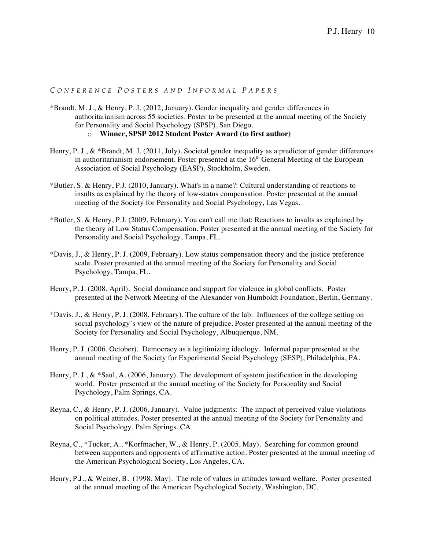## *C ONFERENCE P OSTER S AND I NFORMAL P APERS*

\*Brandt, M. J., & Henry, P. J. (2012, January). Gender inequality and gender differences in authoritarianism across 55 societies. Poster to be presented at the annual meeting of the Society for Personality and Social Psychology (SPSP), San Diego.

```
o Winner, SPSP 2012 Student Poster Award (to first author)
```
- Henry, P. J., & \*Brandt, M. J. (2011, July). Societal gender inequality as a predictor of gender differences in authoritarianism endorsement. Poster presented at the  $16<sup>th</sup>$  General Meeting of the European Association of Social Psychology (EASP), Stockholm, Sweden.
- \*Butler, S. & Henry, P.J. (2010, January). What's in a name?: Cultural understanding of reactions to insults as explained by the theory of low-status compensation. Poster presented at the annual meeting of the Society for Personality and Social Psychology, Las Vegas.
- \*Butler, S. & Henry, P.J. (2009, February). You can't call me that: Reactions to insults as explained by the theory of Low Status Compensation. Poster presented at the annual meeting of the Society for Personality and Social Psychology, Tampa, FL.
- \*Davis, J., & Henry, P. J. (2009, February). Low status compensation theory and the justice preference scale. Poster presented at the annual meeting of the Society for Personality and Social Psychology, Tampa, FL.
- Henry, P. J. (2008, April). Social dominance and support for violence in global conflicts. Poster presented at the Network Meeting of the Alexander von Humboldt Foundation, Berlin, Germany.
- \*Davis, J., & Henry, P. J. (2008, February). The culture of the lab: Influences of the college setting on social psychology's view of the nature of prejudice. Poster presented at the annual meeting of the Society for Personality and Social Psychology, Albuquerque, NM.
- Henry, P. J. (2006, October). Democracy as a legitimizing ideology. Informal paper presented at the annual meeting of the Society for Experimental Social Psychology (SESP), Philadelphia, PA.
- Henry, P. J.,  $\&$  \*Saul, A. (2006, January). The development of system justification in the developing world. Poster presented at the annual meeting of the Society for Personality and Social Psychology, Palm Springs, CA.
- Reyna, C., & Henry, P. J. (2006, January). Value judgments: The impact of perceived value violations on political attitudes. Poster presented at the annual meeting of the Society for Personality and Social Psychology, Palm Springs, CA.
- Reyna, C., \*Tucker, A., \*Korfmacher, W., & Henry, P. (2005, May). Searching for common ground between supporters and opponents of affirmative action. Poster presented at the annual meeting of the American Psychological Society, Los Angeles, CA.
- Henry, P.J., & Weiner, B. (1998, May). The role of values in attitudes toward welfare. Poster presented at the annual meeting of the American Psychological Society, Washington, DC.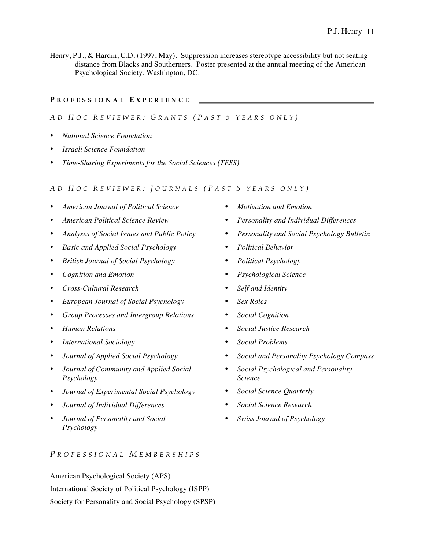Henry, P.J., & Hardin, C.D. (1997, May). Suppression increases stereotype accessibility but not seating distance from Blacks and Southerners. Poster presented at the annual meeting of the American Psychological Society, Washington, DC.

### **P ROFESSIONAL E XPERIENCE**

## *A D H OC R EVIEWER : G RANTS ( P AST 5 YEARS ONLY )*

- *National Science Foundation*
- *Israeli Science Foundation*
- *Time-Sharing Experiments for the Social Sciences (TESS)*

#### *A D H OC R EVIEWER : J OURNALS ( P AST 5 YEARS ONLY )*

- *American Journal of Political Science*
- *American Political Science Review*
- *Analyses of Social Issues and Public Policy*
- *Basic and Applied Social Psychology*
- *British Journal of Social Psychology*
- *Cognition and Emotion*
- *Cross-Cultural Research*
- *European Journal of Social Psychology*
- *Group Processes and Intergroup Relations*
- *Human Relations*
- *International Sociology*
- *Journal of Applied Social Psychology*
- *Journal of Community and Applied Social Psychology*
- *Journal of Experimental Social Psychology*
- *Journal of Individual Differences*
- *Journal of Personality and Social Psychology*

## *P ROFESSIONAL M EMBERSHIPS*

American Psychological Society (APS) International Society of Political Psychology (ISPP) Society for Personality and Social Psychology (SPSP)

- *Motivation and Emotion*
- *Personality and Individual Differences*
- *Personality and Social Psychology Bulletin*
- *Political Behavior*
- *Political Psychology*
- *Psychological Science*
- *Self and Identity*
- *Sex Roles*
- *Social Cognition*
- *Social Justice Research*
- *Social Problems*
- *Social and Personality Psychology Compass*
- *Social Psychological and Personality Science*
- *Social Science Quarterly*
- *Social Science Research*
- *Swiss Journal of Psychology*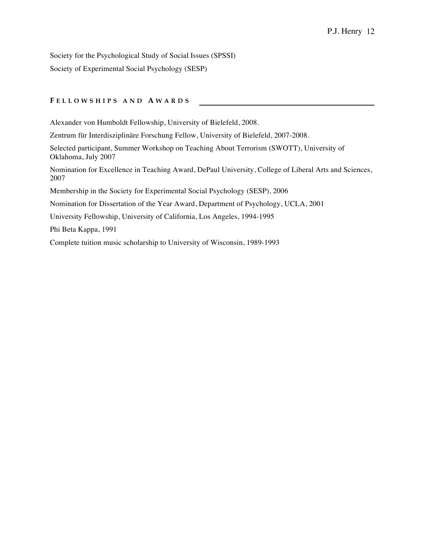Society for the Psychological Study of Social Issues (SPSSI) Society of Experimental Social Psychology (SESP)

### **F ELLOWSHIPS AND A WARDS**

Alexander von Humboldt Fellowship, University of Bielefeld, 2008.

Zentrum für Interdisziplinäre Forschung Fellow, University of Bielefeld, 2007-2008.

Selected participant, Summer Workshop on Teaching About Terrorism (SWOTT), University of Oklahoma, July 2007

Nomination for Excellence in Teaching Award, DePaul University, College of Liberal Arts and Sciences, 2007

Membership in the Society for Experimental Social Psychology (SESP), 2006

Nomination for Dissertation of the Year Award, Department of Psychology, UCLA, 2001

University Fellowship, University of California, Los Angeles, 1994-1995

Phi Beta Kappa, 1991

Complete tuition music scholarship to University of Wisconsin, 1989-1993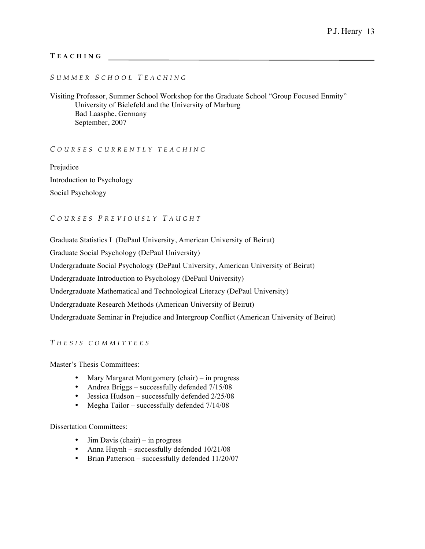## **T EACHING**

## *S UMMER S CHOOL T EACHING*

Visiting Professor, Summer School Workshop for the Graduate School "Group Focused Enmity" University of Bielefeld and the University of Marburg Bad Laasphe, Germany September, 2007

### *C OURSES CURRENTLY TEA CHING*

Prejudice Introduction to Psychology Social Psychology

## *C OURSES P REVIOUSLY T AUGHT*

Graduate Statistics I (DePaul University, American University of Beirut)

Graduate Social Psychology (DePaul University)

Undergraduate Social Psychology (DePaul University, American University of Beirut)

Undergraduate Introduction to Psychology (DePaul University)

Undergraduate Mathematical and Technological Literacy (DePaul University)

Undergraduate Research Methods (American University of Beirut)

Undergraduate Seminar in Prejudice and Intergroup Conflict (American University of Beirut)

### *T HESIS COMMITTEES*

Master's Thesis Committees:

- Mary Margaret Montgomery (chair) in progress
- Andrea Briggs successfully defended  $7/15/08$
- Jessica Hudson successfully defended 2/25/08
- Megha Tailor successfully defended 7/14/08

### Dissertation Committees:

- Jim Davis (chair) in progress
- Anna Huynh successfully defended  $10/21/08$
- Brian Patterson successfully defended  $11/20/07$